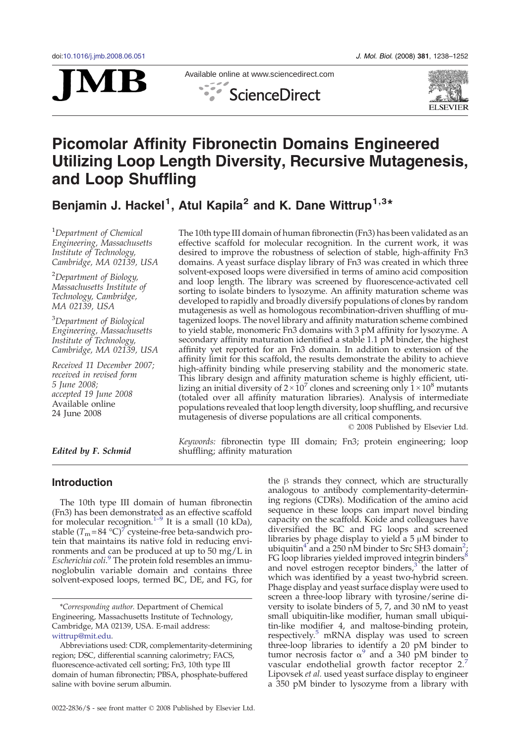



Available online at www.sciencedirect.com ScienceDirect



# Picomolar Affinity Fibronectin Domains Engineered Utilizing Loop Length Diversity, Recursive Mutagenesis, and Loop Shuffling

Benjamin J. Hackel<sup>1</sup>, Atul Kapila<sup>2</sup> and K. Dane Wittrup<sup>1,3\*</sup>

<sup>1</sup>Department of Chemical Engineering, Massachusetts Institute of Technology, Cambridge, MA 02139, USA

<sup>2</sup>Department of Biology, Massachusetts Institute of Technology, Cambridge, MA 02139, USA

<sup>3</sup>Department of Biological Engineering, Massachusetts Institute of Technology, Cambridge, MA 02139, USA

Received 11 December 2007; received in revised form 5 June 2008; accepted 19 June 2008 Available online 24 June 2008

The 10th type III domain of human fibronectin (Fn3) has been validated as an effective scaffold for molecular recognition. In the current work, it was desired to improve the robustness of selection of stable, high-affinity Fn3 domains. A yeast surface display library of Fn3 was created in which three solvent-exposed loops were diversified in terms of amino acid composition and loop length. The library was screened by fluorescence-activated cell sorting to isolate binders to lysozyme. An affinity maturation scheme was developed to rapidly and broadly diversify populations of clones by random mutagenesis as well as homologous recombination-driven shuffling of mutagenized loops. The novel library and affinity maturation scheme combined to yield stable, monomeric Fn3 domains with 3 pM affinity for lysozyme. A secondary affinity maturation identified a stable 1.1 pM binder, the highest affinity yet reported for an Fn3 domain. In addition to extension of the affinity limit for this scaffold, the results demonstrate the ability to achieve high-affinity binding while preserving stability and the monomeric state. This library design and affinity maturation scheme is highly efficient, utilizing an initial diversity of  $2 \times 10^7$  clones and screening only  $1 \times 10^8$  mutants (totaled over all affinity maturation libraries). Analysis of intermediate populations revealed that loop length diversity, loop shuffling, and recursive mutagenesis of diverse populations are all critical components.

© 2008 Published by Elsevier Ltd.

Keywords: fibronectin type III domain; Fn3; protein engineering; loop shuffling; affinity maturation

Edited by F. Schmid

# Introduction

The 10th type III domain of human fibronectin (Fn3) has been demonstra[ted](#page-13-0) as an effective scaffold for molecular recognition.<sup>1–9</sup> It is a small (10 kDa), stable  $(T_m = 84 \text{ °C})^7$  $(T_m = 84 \text{ °C})^7$  $(T_m = 84 \text{ °C})^7$  $(T_m = 84 \text{ °C})^7$  cysteine-free beta-sandwich protein that maintains its native fold in reducing environments and can be produced at up to 50 mg/L in Escherichia coli.<sup>[9](#page-13-0)</sup> The protein fold resembles an immunoglobulin variable domain and contains three solvent-exposed loops, termed BC, DE, and FG, for the β strands they connect, which are structurally analogous to antibody complementarity-determining regions (CDRs). Modification of the amino acid sequence in these loops can impart novel binding capacity on the scaffold. Koide and colleagues have diversified the BC and FG loops and screened libraries by phage display to yield a 5 μM binder to ubiquitin<sup>[4](#page-13-0)</sup> a[n](#page-13-0)d a [2](#page-13-0)50 nM binder to Src SH3 domain<sup>2</sup> FG loop libraries yielded improved integrin binders<sup>[8](#page-13-0)</sup> and novel estrogen receptor binders, $3$  the latter of which was identified by a yeast two-hybrid screen. Phage display and yeast surface display were used to screen a three-loop library with tyrosine/serine diversity to isolate binders of 5, 7, and 30 nM to yeast small ubiquitin-like modifier, human small ubiquitin-like modifier 4, and maltose-binding protein, respectively.<sup>[5](#page-13-0)</sup> mRNA display was used to screen three-loop libraries to identify a 20 pM binder to tumor necrosis factor  $\alpha^9$  $\alpha^9$  and a 340 pM binder to vascular endothelial growth factor receptor 2. Lipovsek et al. used yeast surface display to engineer a 350 pM binder to lysozyme from a library with

<sup>\*</sup>Corresponding author. Department of Chemical Engineering, Massachusetts Institute of Technology, Cambridge, MA 02139, USA. E-mail address: wittrup@mit.edu.

Abbreviations used: CDR, complementarity-determining region; DSC, differential scanning calorimetry; FACS, fluorescence-activated cell sorting; Fn3, 10th type III domain of human fibronectin; PBSA, phosphate-buffered saline with bovine serum albumin.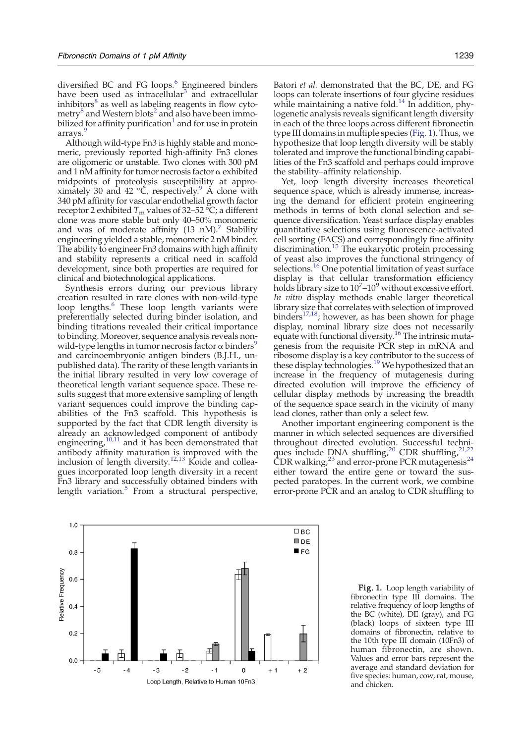<span id="page-1-0"></span>arrays.<sup>[9](#page-13-0)</sup> Although wild-type Fn3 is highly stable and monomeric, previously reported high-affinity Fn3 clones are oligomeric or unstable. Two clones with 300 pM and 1 nM affinity for tumor necrosis factor  $\alpha$  exhibited midpoints of proteolysis susceptibility at appro-ximately 30 and 42 °C, respectively[.](#page-13-0)<sup>[9](#page-13-0)</sup> A clone with 340 pM affinity for vascular endothelial growth factor receptor 2 exhibited  $T_m$  values of 32–52 °C; a different clone was more stable but only 40–50% monomeric and was of moderate affinity  $(13 \text{ nM})^7$  $(13 \text{ nM})^7$  Stability engineering yielded a stable, monomeric 2 nM binder. The ability to engineer Fn3 domains with high affinity and stability represents a critical need in scaffold development, since both properties are required for clinical and biotechnological applications.

Synthesis errors during our previous library creation resulted in rare clones with non-wild-type loop lengths.<sup>[6](#page-13-0)</sup> These loop length variants were preferentially selected during binder isolation, and binding titrations revealed their critical importance to binding. Moreover, sequence analysis reveals nonwild-type lengths in tumor necrosis factor  $\alpha$  binders<sup>5</sup> and carcinoembryonic antigen binders (B.J.H., unpublished data). The rarity of these length variants in the initial library resulted in very low coverage of theoretical length variant sequence space. These results suggest that more extensive sampling of length variant sequences could improve the binding capabilities of the Fn3 scaffold. This hypothesis is supported by the fact that CDR length diversity is already an acknowledged component of antibody engineering[,](#page-13-0) $10,11$  and it has been demonstrated that antibody affinity maturation is improved with the inclusion of length diversity.<sup>[12,13](#page-13-0)</sup> Koide and colleagues incorporated loop length diversity in a recent Fn3 library and successfully obtained binders with length variation. $\delta$  From a structural perspective,



Batori et al. demonstrated that the BC, DE, and FG loops can tolerate insertions of four glycine residues while maintaining a native fold.<sup>[14](#page-13-0)</sup> In addition, phylogenetic analysis reveals significant length diversity in each of the three loops across different fibronectin type III domains in multiple species (Fig. 1). Thus, we hypothesize that loop length diversity will be stably tolerated and improve the functional binding capabilities of the Fn3 scaffold and perhaps could improve the stability–affinity relationship.

Yet, loop length diversity increases theoretical sequence space, which is already immense, increasing the demand for efficient protein engineering methods in terms of both clonal selection and sequence diversification. Yeast surface display enables quantitative selections using fluorescence-activated cell sorting (FACS) and correspondingly fine affinity discrimination.<sup>[15](#page-13-0)</sup> The eukaryotic protein processing of yeast also improves the functional stringency of selections.<sup>[16](#page-13-0)</sup> One potential limitation of yeast surface display is that cellular transformation efficiency holds library size to  $10^7$ – $10^9$  without excessive effort. In vitro display methods enable larger theoretical library size that correlates with selection of improved binders $17,18$ ; however, as has been shown for phage display, nominal library size does not necessarily equate with functional diversity[.](#page-13-0)<sup>[16](#page-13-0)</sup> The intrinsic mutagenesis from the requisite PCR step in mRNA and ribosome display is a key contributor to the success of these display technologies.<sup>[19](#page-13-0)</sup> We hypothesized that an increase in the frequency of mutagenesis during directed evolution will improve the efficiency of cellular display methods by increasing the breadth of the sequence space search in the vicinity of many lead clones, rather than only a select few.

Another important engineering component is the manner in which selected sequences are diversified throughout directed evolution. Successful techni-ques include DNA shuffling,<sup>[20](#page-13-0)</sup> CDR shuffling,<sup>[21,22](#page-13-0)</sup>  $\text{CDR}$  walking[,](#page-13-0)<sup>[23](#page-13-0)</sup> and error-prone PCR mutagenesis<sup>[24](#page-13-0)</sup> either toward the entire gene or toward the suspected paratopes. In the current work, we combine error-prone PCR and an analog to CDR shuffling to

> Fig. 1. Loop length variability of fibronectin type III domains. The relative frequency of loop lengths of the BC (white), DE (gray), and FG (black) loops of sixteen type III domains of fibronectin, relative to the 10th type III domain (10Fn3) of human fibronectin, are shown. Values and error bars represent the average and standard deviation for five species: human, cow, rat, mouse, and chicken.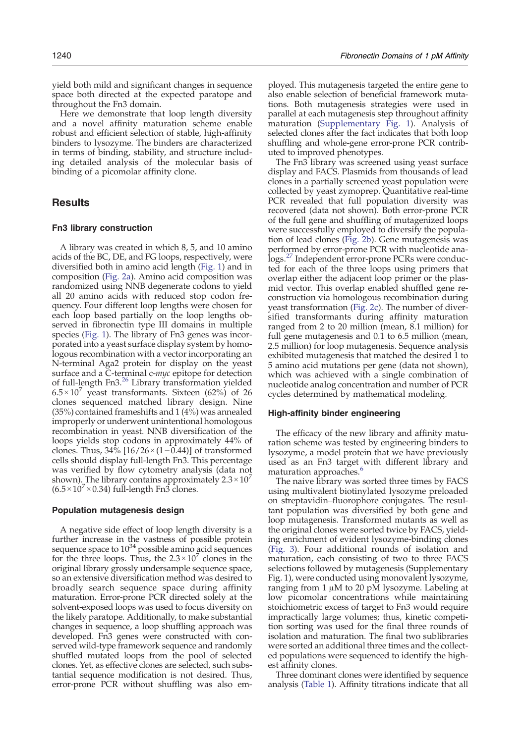yield both mild and significant changes in sequence space both directed at the expected paratope and throughout the Fn3 domain.

Here we demonstrate that loop length diversity and a novel affinity maturation scheme enable robust and efficient selection of stable, high-affinity binders to lysozyme. The binders are characterized in terms of binding, stability, and structure including detailed analysis of the molecular basis of binding of a picomolar affinity clone.

# **Results**

## Fn3 library construction

A library was created in which 8, 5, and 10 amino acids of the BC, DE, and FG loops, respectively, were diversified both in amino acid length [\(Fig. 1](#page-1-0)) and in composition ([Fig. 2a](#page-3-0)). Amino acid composition was randomized using NNB degenerate codons to yield all 20 amino acids with reduced stop codon frequency. Four different loop lengths were chosen for each loop based partially on the loop lengths observed in fibronectin type III domains in multiple species ([Fig. 1](#page-1-0)). The library of Fn3 genes was incorporated into a yeast surface display system by homologous recombination with a vector incorporating an N-terminal Aga2 protein for display on the yeast surface and a C-terminal c-myc epitope for detection of full-length Fn3.[26](#page-13-0) Library transformation yielded  $6.5 \times 10^{7}$  yeast transformants. Sixteen (62%) of 26 clones sequenced matched library design. Nine (35%) contained frameshifts and 1 (4%) was annealed improperly or underwent unintentional homologous recombination in yeast. NNB diversification of the loops yields stop codons in approximately 44% of clones. Thus,  $34\%$  [16/26 × (1 – 0.44)] of transformed cells should display full-length Fn3. This percentage was verified by flow cytometry analysis (data not shown). The library contains approximately  $2.3 \times 10^{7}$  $(6.5 \times 10^7 \times 0.34)$  full-length Fn3 clones.

## Population mutagenesis design

A negative side effect of loop length diversity is a further increase in the vastness of possible protein sequence space to  $10^{34}$  possible amino acid sequences for the three loops. Thus, the  $2.3 \times 10^7$  clones in the original library grossly undersample sequence space, so an extensive diversification method was desired to broadly search sequence space during affinity maturation. Error-prone PCR directed solely at the solvent-exposed loops was used to focus diversity on the likely paratope. Additionally, to make substantial changes in sequence, a loop shuffling approach was developed. Fn3 genes were constructed with conserved wild-type framework sequence and randomly shuffled mutated loops from the pool of selected clones. Yet, as effective clones are selected, such substantial sequence modification is not desired. Thus, error-prone PCR without shuffling was also em-

ployed. This mutagenesis targeted the entire gene to also enable selection of beneficial framework mutations. Both mutagenesis strategies were used in parallel at each mutagenesis step throughout affinity maturation (Supplementary Fig. 1). Analysis of selected clones after the fact indicates that both loop shuffling and whole-gene error-prone PCR contributed to improved phenotypes.

The Fn3 library was screened using yeast surface display and FACS. Plasmids from thousands of lead clones in a partially screened yeast population were collected by yeast zymoprep. Quantitative real-time PCR revealed that full population diversity was recovered (data not shown). Both error-prone PCR of the full gene and shuffling of mutagenized loops were successfully employed to diversify the population of lead clones [\(Fig. 2b](#page-3-0)). Gene mutagenesis was performed by error-prone PCR with nucleotide analogs.[27](#page-13-0) Independent error-prone PCRs were conducted for each of the three loops using primers that overlap either the adjacent loop primer or the plasmid vector. This overlap enabled shuffled gene reconstruction via homologous recombination during yeast transformation ([Fig. 2c](#page-3-0)). The number of diversified transformants during affinity maturation ranged from 2 to 20 million (mean, 8.1 million) for full gene mutagenesis and 0.1 to 6.5 million (mean, 2.5 million) for loop mutagenesis. Sequence analysis exhibited mutagenesis that matched the desired 1 to 5 amino acid mutations per gene (data not shown), which was achieved with a single combination of nucleotide analog concentration and number of PCR cycles determined by mathematical modeling.

## High-affinity binder engineering

The efficacy of the new library and affinity maturation scheme was tested by engineering binders to lysozyme, a model protein that we have previously used as an Fn3 target with different library and maturation approaches.<sup>[6](#page-13-0)</sup>

The naive library was sorted three times by FACS using multivalent biotinylated lysozyme preloaded on streptavidin–fluorophore conjugates. The resultant population was diversified by both gene and loop mutagenesis. Transformed mutants as well as the original clones were sorted twice by FACS, yielding enrichment of evident lysozyme-binding clones ([Fig. 3](#page-4-0)). Four additional rounds of isolation and maturation, each consisting of two to three FACS selections followed by mutagenesis (Supplementary Fig. 1), were conducted using monovalent lysozyme, ranging from 1 μM to 20 pM lysozyme. Labeling at low picomolar concentrations while maintaining stoichiometric excess of target to Fn3 would require impractically large volumes; thus, kinetic competition sorting was used for the final three rounds of isolation and maturation. The final two sublibraries were sorted an additional three times and the collected populations were sequenced to identify the highest affinity clones.

Three dominant clones were identified by sequence analysis [\(Table 1](#page-4-0)). Affinity titrations indicate that all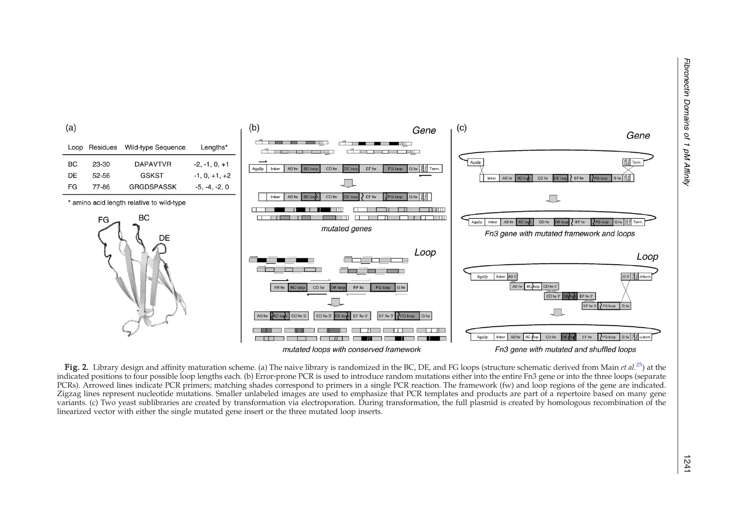<span id="page-3-0"></span>

Fig. 2. Library design and affinity maturation scheme. (a) The naive library is randomized in the BC, DE, and FG loops (structure schematic derived from Main et al.<sup>25</sup>) at the indicated positions to four possible loop lengths each. (b) Error-prone PCR is used to introduce random mutations either into the entire Fn3 gene or into the three loops (separate PCRs). Arrowed lines indicate PCR primers; matching shades correspond to primers in a single PCR reaction. The framework (fw) and loop regions of the gene are indicated. Zigzag lines represent nucleotide mutations. Smaller unlabeled images are used to emphasize that PCR templates and products are part of a repertoire based on many gene variants. (c) Two yeas<sup>t</sup> sublibraries are created by transformation via electroporation. During transformation, the full plasmid is created by homologous recombination of the linearized vector with either the single mutated gene insert or the three mutated loop inserts.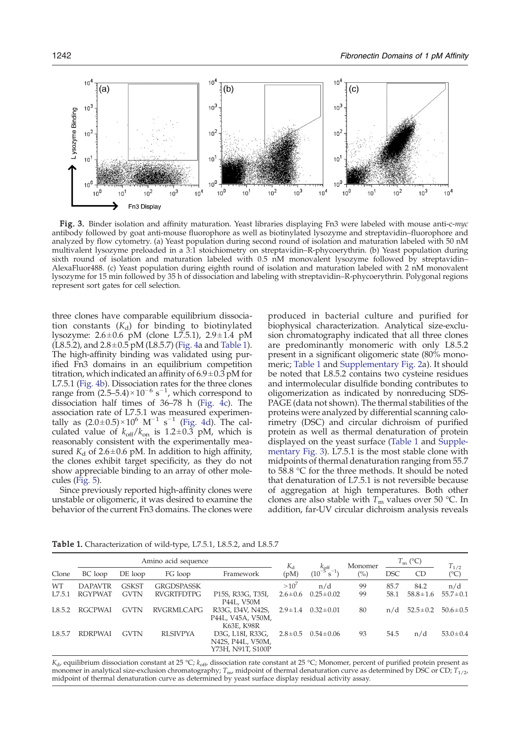<span id="page-4-0"></span>

Fig. 3. Binder isolation and affinity maturation. Yeast libraries displaying Fn3 were labeled with mouse anti-c-myc antibody followed by goat anti-mouse fluorophore as well as biotinylated lysozyme and streptavidin–fluorophore and analyzed by flow cytometry. (a) Yeast population during second round of isolation and maturation labeled with 50 nM multivalent lysozyme preloaded in a 3:1 stoichiometry on streptavidin–R-phycoerythrin. (b) Yeast population during sixth round of isolation and maturation labeled with 0.5 nM monovalent lysozyme followed by streptavidin– AlexaFluor488. (c) Yeast population during eighth round of isolation and maturation labeled with 2 nM monovalent lysozyme for 15 min followed by 35 h of dissociation and labeling with streptavidin–R-phycoerythrin. Polygonal regions represent sort gates for cell selection.

three clones have comparable equilibrium dissociation constants  $(K_d)$  for binding to biotinylated lysozyme:  $2.6 \pm 0.6$  pM (clone L7.5.1),  $2.9 \pm 1.4$  pM  $(L8.5.2)$ , and  $2.8 \pm 0.5$  pM (L8.5.7) ([Fig. 4a](#page-5-0) and Table 1). The high-affinity binding was validated using purified Fn3 domains in an equilibrium competition titration, which indicated an affinity of  $6.9 \pm 0.3$  pM for L7.5.1 ([Fig. 4b\)](#page-5-0). Dissociation rates for the three clones range from  $(2.5-5.4) \times 10^{-6}$  s<sup>-1</sup>, which correspond to dissociation half times of  $36-78$  h ([Fig. 4c\)](#page-5-0). The association rate of L7.5.1 was measured experimentally as  $(2.0\pm0.5)\times10^6$  M<sup>-1</sup> s<sup>-1</sup> [\(Fig. 4d\)](#page-5-0). The calculated value of  $k_{off}/k_{on}$  is 1.2 $\pm$ 0.3 pM, which is reasonably consistent with the experimentally measured  $K_d$  of 2.6 ± 0.6 pM. In addition to high affinity, the clones exhibit target specificity, as they do not show appreciable binding to an array of other molecules [\(Fig. 5\)](#page-5-0).

Since previously reported high-affinity clones were unstable or oligomeric, it was desired to examine the behavior of the current Fn3 domains. The clones were

produced in bacterial culture and purified for biophysical characterization. Analytical size-exclusion chromatography indicated that all three clones are predominantly monomeric with only L8.5.2 present in a significant oligomeric state (80% monomeric; Table 1 and Supplementary Fig. 2a). It should be noted that L8.5.2 contains two cysteine residues and intermolecular disulfide bonding contributes to oligomerization as indicated by nonreducing SDS-PAGE (data not shown). The thermal stabilities of the proteins were analyzed by differential scanning calorimetry (DSC) and circular dichroism of purified protein as well as thermal denaturation of protein displayed on the yeast surface (Table 1 and Supplementary Fig. 3). L7.5.1 is the most stable clone with midpoints of thermal denaturation ranging from 55.7 to 58.8 °C for the three methods. It should be noted that denaturation of L7.5.1 is not reversible because of aggregation at high temperatures. Both other clones are also stable with  $T_m$  values over 50 °C. In addition, far-UV circular dichroism analysis reveals

|           | Amino acid sequence |              |                   |                                                                        | $K_{d}$       | $k_{\rm off}$           | Monomer | $T_{\rm m}$ (°C) |                | $T_{1/2}$      |
|-----------|---------------------|--------------|-------------------|------------------------------------------------------------------------|---------------|-------------------------|---------|------------------|----------------|----------------|
| Clone     | BC loop             | DE loop      | FG loop           | Framework                                                              | (pM)          | $S^{-1}$<br>$(10^{-5})$ | (%)     | <b>DSC</b>       | <b>CD</b>      | (°C)           |
| <b>WT</b> | <b>DAPAVTR</b>      | <b>GSKST</b> | <b>GRGDSPASSK</b> |                                                                        | $>10^{7}$     | n/d                     | 99      | 85.7             | 84.2           | n/d            |
| L7.5.1    | <b>RGYPWAT</b>      | <b>GVTN</b>  | <b>RVGRTFDTPG</b> | P <sub>15</sub> S, R <sub>33</sub> G, T <sub>35</sub> I,<br>P44L, V50M | $2.6 \pm 0.6$ | $0.25 \pm 0.02$         | 99      | 58.1             | $58.8 \pm 1.6$ | $55.7 \pm 0.1$ |
| L8.5.2    | <b>RGCPWAI</b>      | <b>GVTN</b>  | <b>RVGRMLCAPG</b> | R33G, I34V, N42S,<br>P44L, V45A, V50M,<br>K63E, K98R                   | $2.9 \pm 1.4$ | $0.32 \pm 0.01$         | 80      | n/d              | $52.5 \pm 0.2$ | $50.6 \pm 0.5$ |
| L8.5.7    | <b>RDRPWAI</b>      | <b>GVTN</b>  | <b>RLSIVPYA</b>   | D3G, L18I, R33G,<br>N42S, P44L, V50M,<br>Y73H, N91T, S100P             | $2.8 \pm 0.5$ | $0.54 \pm 0.06$         | 93      | 54.5             | n/d            | $53.0 \pm 0.4$ |

Table 1. Characterization of wild-type, L7.5.1, L8.5.2, and L8.5.7

 $K_d$ , equilibrium dissociation constant at 25 °C;  $k_{off}$ , dissociation rate constant at 25 °C; Monomer, percent of purified protein present as monomer in analytical size-exclusion chromatography;  $T_{\text{mv}}$  midpoint of thermal denaturation curve as determined by DSC or CD;  $T_{1/2}$ midpoint of thermal denaturation curve as determined by yeast surface display residual activity assay.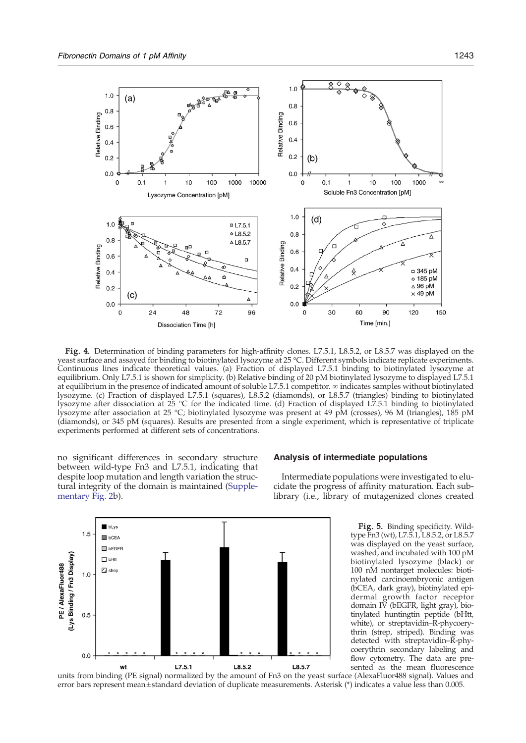<span id="page-5-0"></span>

Fig. 4. Determination of binding parameters for high-affinity clones. L7.5.1, L8.5.2, or L8.5.7 was displayed on the yeast surface and assayed for binding to biotinylated lysozyme at 25 °C. Different symbols indicate replicate experiments. Continuous lines indicate theoretical values. (a) Fraction of displayed L7.5.1 binding to biotinylated lysozyme at equilibrium. Only L7.5.1 is shown for simplicity. (b) Relative binding of 20 pM biotinylated lysozyme to displayed L7.5.1 at equilibrium in the presence of indicated amount of soluble L7.5.1 competitor. ∞ indicates samples without biotinylated lysozyme. (c) Fraction of displayed L7.5.1 (squares), L8.5.2 (diamonds), or L8.5.7 (triangles) binding to biotinylated lysozyme after dissociation at 25 °C for the indicated time. (d) Fraction of displayed L7.5.1 binding to biotinylated lysozyme after association at 25 °C; biotinylated lysozyme was present at 49 pM (crosses), 96 M (triangles), 185 pM (diamonds), or 345 pM (squares). Results are presented from a single experiment, which is representative of triplicate experiments performed at different sets of concentrations.

no significant differences in secondary structure between wild-type Fn3 and L7.5.1, indicating that despite loop mutation and length variation the structural integrity of the domain is maintained (Supplementary Fig. 2b).



#### Analysis of intermediate populations

Intermediate populations were investigated to elucidate the progress of affinity maturation. Each sublibrary (i.e., library of mutagenized clones created

> Fig. 5. Binding specificity. Wildtype Fn3 (wt), L7.5.1, L8.5.2, or L8.5.7 was displayed on the yeast surface, washed, and incubated with 100 pM biotinylated lysozyme (black) or 100 nM nontarget molecules: biotinylated carcinoembryonic antigen (bCEA, dark gray), biotinylated epidermal growth factor receptor domain IV (bEGFR, light gray), biotinylated huntingtin peptide (bHtt, white), or streptavidin–R-phycoerythrin (strep, striped). Binding was detected with streptavidin–R-phycoerythrin secondary labeling and flow cytometry. The data are presented as the mean fluorescence

units from binding (PE signal) normalized by the amount of Fn3 on the yeast surface (AlexaFluor488 signal). Values and error bars represent mean± standard deviation of duplicate measurements. Asterisk (\*) indicates a value less than 0.005.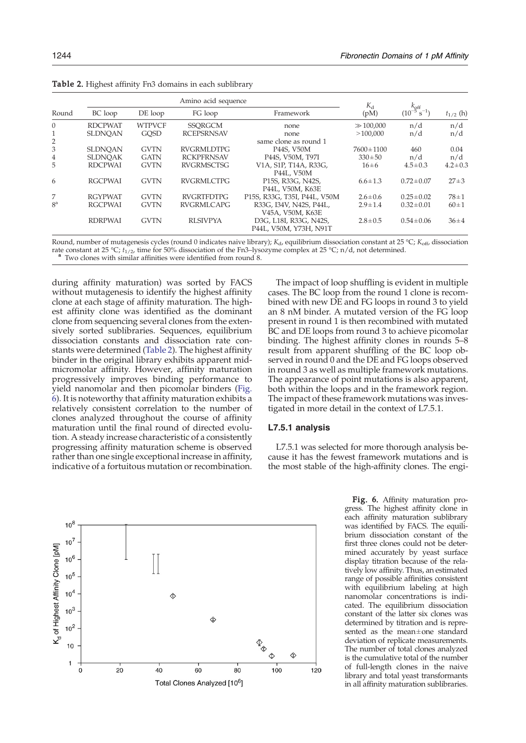|                |                |               | $K_{\rm d}$       | $k_{\rm off}$                |                 |                         |               |
|----------------|----------------|---------------|-------------------|------------------------------|-----------------|-------------------------|---------------|
| Round          | BC loop        | DE loop       | FG loop           | Framework                    | (pM)            | $S^{-1}$<br>$(10^{-1})$ | $t_{1/2}$ (h) |
| $\Omega$       | <b>RDCPWAT</b> | <b>WTPVCF</b> | <b>SSORGCM</b>    | none                         | $\gg 100,000$   | n/d                     | n/d           |
|                | <b>SLDNOAN</b> | <b>GOSD</b>   | <b>RCEPSRNSAV</b> | none                         | >100.000        | n/d                     | n/d           |
| 2              |                |               |                   | same clone as round 1        |                 |                         |               |
| 3              | <b>SLDNOAN</b> | <b>GVTN</b>   | <b>RVGRMLDTPG</b> | P44S. V50M                   | $7600 \pm 1100$ | 460                     | 0.04          |
| 4              | <b>SLDNOAK</b> | <b>GATN</b>   | <b>RCKPFRNSAV</b> | P44S, V50M, T97I             | $330 \pm 50$    | n/d                     | n/d           |
| 5              | <b>RDCPWAI</b> | <b>GVTN</b>   | <b>RVGRMSCTSG</b> | V1A, S1P, T14A, R33G,        | $16 \pm 6$      | $4.5 \pm 0.3$           | $4.2 \pm 0.3$ |
|                |                |               |                   | P44L, V50M                   |                 |                         |               |
| 6              | <b>RGCPWAI</b> | <b>GVTN</b>   | RVGRMLCTPG        | P15S, R33G, N42S,            | $6.6 \pm 1.3$   | $0.72 \pm 0.07$         | $27 \pm 3$    |
|                |                |               |                   | P44L, V50M, K63E             |                 |                         |               |
| 7              | <b>RGYPWAT</b> | <b>GVTN</b>   | <b>RVGRTFDTPG</b> | P15S, R33G, T35I, P44L, V50M | $2.6 \pm 0.6$   | $0.25 \pm 0.02$         | $78 + 1$      |
| 8 <sup>a</sup> | <b>RGCPWAI</b> | <b>GVTN</b>   | <b>RVGRMLCAPG</b> | R33G, I34V, N42S, P44L,      | $2.9 \pm 1.4$   | $0.32 \pm 0.01$         | $60 \pm 1$    |
|                |                |               |                   | V45A, V50M, K63E             |                 |                         |               |
|                | <b>RDRPWAI</b> | <b>GVTN</b>   | <b>RLSIVPYA</b>   | D3G, L18I, R33G, N42S,       | $2.8 \pm 0.5$   | $0.54 \pm 0.06$         | $36 + 4$      |
|                |                |               |                   | P44L, V50M, Y73H, N91T       |                 |                         |               |

<span id="page-6-0"></span>Table 2. Highest affinity Fn3 domains in each sublibrary

Round, number of mutagenesis cycles (round 0 indicates naive library);  $K_{d}$ , equilibrium dissociation constant at 25 °C;  $K_{\text{off}}$ , dissociation rate constant at 25 °C;  $t_{1/2}$ , time for 50% dissociation of the Fn3–lysozyme complex at 25 °C; n/d, not determined. <sup>a</sup> Two clones with similar affinities were identified from round 8.

during affinity maturation) was sorted by FACS without mutagenesis to identify the highest affinity clone at each stage of affinity maturation. The highest affinity clone was identified as the dominant clone from sequencing several clones from the extensively sorted sublibraries. Sequences, equilibrium dissociation constants and dissociation rate constants were determined (Table 2). The highest affinity binder in the original library exhibits apparent midmicromolar affinity. However, affinity maturation progressively improves binding performance to yield nanomolar and then picomolar binders (Fig. 6). It is noteworthy that affinity maturation exhibits a relatively consistent correlation to the number of clones analyzed throughout the course of affinity maturation until the final round of directed evolution. A steady increase characteristic of a consistently progressing affinity maturation scheme is observed rather than one single exceptional increase in affinity, indicative of a fortuitous mutation or recombination.



The impact of loop shuffling is evident in multiple cases. The BC loop from the round 1 clone is recombined with new DE and FG loops in round 3 to yield an 8 nM binder. A mutated version of the FG loop present in round 1 is then recombined with mutated BC and DE loops from round 3 to achieve picomolar binding. The highest affinity clones in rounds 5–8 result from apparent shuffling of the BC loop observed in round 0 and the DE and FG loops observed in round 3 as well as multiple framework mutations. The appearance of point mutations is also apparent, both within the loops and in the framework region. The impact of these framework mutations was investigated in more detail in the context of L7.5.1.

## L7.5.1 analysis

L7.5.1 was selected for more thorough analysis because it has the fewest framework mutations and is the most stable of the high-affinity clones. The engi-

> Fig. 6. Affinity maturation progress. The highest affinity clone in each affinity maturation sublibrary was identified by FACS. The equilibrium dissociation constant of the first three clones could not be determined accurately by yeast surface display titration because of the relatively low affinity. Thus, an estimated range of possible affinities consistent with equilibrium labeling at high nanomolar concentrations is indicated. The equilibrium dissociation constant of the latter six clones was determined by titration and is represented as the mean±one standard deviation of replicate measurements. The number of total clones analyzed is the cumulative total of the number of full-length clones in the naive library and total yeast transformants in all affinity maturation sublibraries.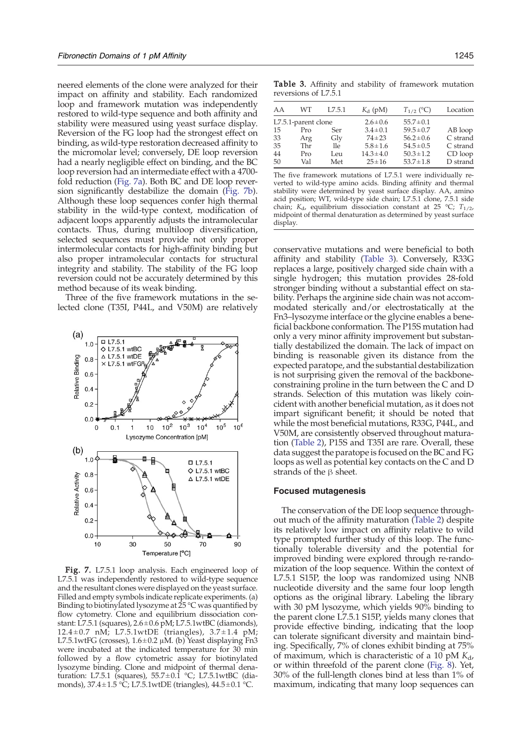neered elements of the clone were analyzed for their impact on affinity and stability. Each randomized loop and framework mutation was independently restored to wild-type sequence and both affinity and stability were measured using yeast surface display. Reversion of the FG loop had the strongest effect on binding, as wild-type restoration decreased affinity to the micromolar level; conversely, DE loop reversion had a nearly negligible effect on binding, and the BC loop reversion had an intermediate effect with a 4700 fold reduction (Fig. 7a). Both BC and DE loop reversion significantly destabilize the domain (Fig. 7b). Although these loop sequences confer high thermal stability in the wild-type context, modification of adjacent loops apparently adjusts the intramolecular contacts. Thus, during multiloop diversification, selected sequences must provide not only proper intermolecular contacts for high-affinity binding but also proper intramolecular contacts for structural integrity and stability. The stability of the FG loop reversion could not be accurately determined by this method because of its weak binding.

Three of the five framework mutations in the selected clone (T35I, P44L, and V50M) are relatively



Fig. 7. L7.5.1 loop analysis. Each engineered loop of L7.5.1 was independently restored to wild-type sequence and the resultant clones were displayed on the yeast surface. Filled and empty symbols indicate replicate experiments. (a) Binding to biotinylated lysozyme at  $25^{\circ}$ C was quantified by flow cytometry. Clone and equilibrium dissociation constant: L7.5.1 (squares), 2.6± 0.6 pM; L7.5.1wtBC (diamonds), 12.4  $\pm$  0.7 nM; L7.5.1wtDE (triangles), 3.7 $\pm$ 1.4 pM; L7.5.1wtFG (crosses),  $1.6 \pm 0.2$   $\mu$ M. (b) Yeast displaying Fn3 were incubated at the indicated temperature for 30 min followed by a flow cytometric assay for biotinylated lysozyme binding. Clone and midpoint of thermal denaturation: L7.5.1 (squares),  $55.7 \pm 0.1$  °C; L7.5.1wtBC (diamonds),  $37.4 \pm 1.5$  °C; L7.5.1wtDE (triangles),  $44.5 \pm 0.1$  °C.

Table 3. Affinity and stability of framework mutation reversions of L7.5.1

| Location    |
|-------------|
|             |
| AB loop     |
| C strand    |
| C strand    |
| $CD$ $loop$ |
| D strand    |
|             |

The five framework mutations of L7.5.1 were individually reverted to wild-type amino acids. Binding affinity and thermal stability were determined by yeast surface display. AA, amino acid position; WT, wild-type side chain; L7.5.1 clone, 7.5.1 side chain;  $K_d$ , equilibrium dissociation constant at 25 °C;  $T_{1/2}$ , midpoint of thermal denaturation as determined by yeast surface display.

conservative mutations and were beneficial to both affinity and stability (Table 3). Conversely, R33G replaces a large, positively charged side chain with a single hydrogen; this mutation provides 28-fold stronger binding without a substantial effect on stability. Perhaps the arginine side chain was not accommodated sterically and/or electrostatically at the Fn3–lysozyme interface or the glycine enables a beneficial backbone conformation. The P15S mutation had only a very minor affinity improvement but substantially destabilized the domain. The lack of impact on binding is reasonable given its distance from the expected paratope, and the substantial destabilization is not surprising given the removal of the backboneconstraining proline in the turn between the C and D strands. Selection of this mutation was likely coincident with another beneficial mutation, as it does not impart significant benefit; it should be noted that while the most beneficial mutations, R33G, P44L, and V50M, are consistently observed throughout maturation ([Table 2\)](#page-6-0), P15S and T35I are rare. Overall, these data suggest the paratope is focused on the BC and FG loops as well as potential key contacts on the C and D strands of the β sheet.

#### Focused mutagenesis

The conservation of the DE loop sequence throughout much of the affinity maturation ([Table 2\)](#page-6-0) despite its relatively low impact on affinity relative to wild type prompted further study of this loop. The functionally tolerable diversity and the potential for improved binding were explored through re-randomization of the loop sequence. Within the context of L7.5.1 S15P, the loop was randomized using NNB nucleotide diversity and the same four loop length options as the original library. Labeling the library with 30 pM lysozyme, which yields 90% binding to the parent clone L7.5.1 S15P, yields many clones that provide effective binding, indicating that the loop can tolerate significant diversity and maintain binding. Specifically, 7% of clones exhibit binding at 75% of maximum, which is characteristic of a 10 pM  $K_{d}$ , or within threefold of the parent clone ([Fig. 8](#page-8-0)). Yet, 30% of the full-length clones bind at less than 1% of maximum, indicating that many loop sequences can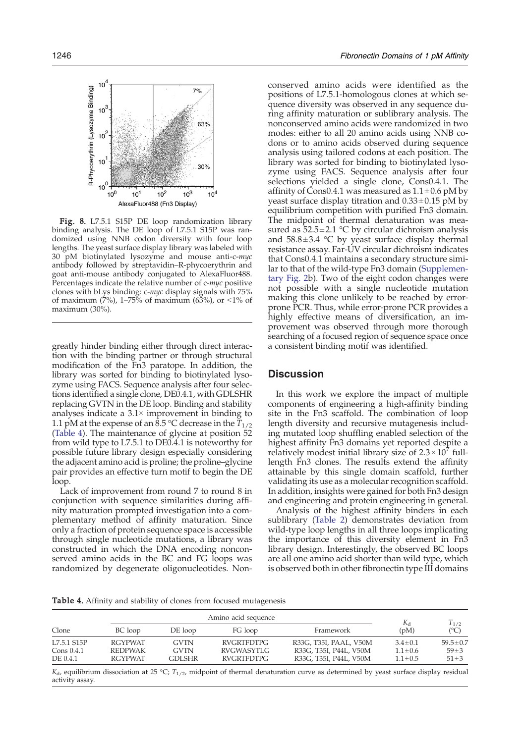<span id="page-8-0"></span>

Fig. 8. L7.5.1 S15P DE loop randomization library binding analysis. The DE loop of L7.5.1 S15P was randomized using NNB codon diversity with four loop lengths. The yeast surface display library was labeled with 30 pM biotinylated lysozyme and mouse anti-c-myc antibody followed by streptavidin–R-phycoerythrin and goat anti-mouse antibody conjugated to AlexaFluor488. Percentages indicate the relative number of c-myc positive clones with bLys binding: c-myc display signals with 75% of maximum (7%), 1–75% of maximum (63%), or <1% of maximum (30%).

greatly hinder binding either through direct interaction with the binding partner or through structural modification of the Fn3 paratope. In addition, the library was sorted for binding to biotinylated lysozyme using FACS. Sequence analysis after four selections identified a single clone, DE0.4.1, with GDLSHR replacing GVTN in the DE loop. Binding and stability analyses indicate a  $3.1\times$  improvement in binding to 1.1 pM at the expense of an  $8.5^{\circ}$ C decrease in the  $T_{1/2}$ (Table 4). The maintenance of glycine at position 52 from wild type to L7.5.1 to DE0.4.1 is noteworthy for possible future library design especially considering the adjacent amino acid is proline; the proline–glycine pair provides an effective turn motif to begin the DE loop.

Lack of improvement from round 7 to round 8 in conjunction with sequence similarities during affinity maturation prompted investigation into a complementary method of affinity maturation. Since only a fraction of protein sequence space is accessible through single nucleotide mutations, a library was constructed in which the DNA encoding nonconserved amino acids in the BC and FG loops was randomized by degenerate oligonucleotides. Non-

conserved amino acids were identified as the positions of L7.5.1-homologous clones at which sequence diversity was observed in any sequence during affinity maturation or sublibrary analysis. The nonconserved amino acids were randomized in two modes: either to all 20 amino acids using NNB codons or to amino acids observed during sequence analysis using tailored codons at each position. The library was sorted for binding to biotinylated lysozyme using FACS. Sequence analysis after four selections yielded a single clone, Cons0.4.1. The affinity of Cons0.4.1 was measured as  $1.1 \pm 0.6$  pM by yeast surface display titration and  $0.33 \pm 0.15$  pM by equilibrium competition with purified Fn3 domain. The midpoint of thermal denaturation was measured as  $52.5 \pm 2.1$  °C by circular dichroism analysis and  $58.8 \pm 3.4$  °C by yeast surface display thermal resistance assay. Far-UV circular dichroism indicates that Cons0.4.1 maintains a secondary structure similar to that of the wild-type Fn3 domain (Supplementary Fig. 2b). Two of the eight codon changes were not possible with a single nucleotide mutation making this clone unlikely to be reached by errorprone PCR. Thus, while error-prone PCR provides a highly effective means of diversification, an improvement was observed through more thorough searching of a focused region of sequence space once a consistent binding motif was identified.

## **Discussion**

In this work we explore the impact of multiple components of engineering a high-affinity binding site in the Fn3 scaffold. The combination of loop length diversity and recursive mutagenesis including mutated loop shuffling enabled selection of the highest affinity Fn3 domains yet reported despite a relatively modest initial library size of  $2.3 \times 10^7$  fulllength Fn3 clones. The results extend the affinity attainable by this single domain scaffold, further validating its use as a molecular recognition scaffold. In addition, insights were gained for both Fn3 design and engineering and protein engineering in general.

Analysis of the highest affinity binders in each sublibrary ([Table 2](#page-6-0)) demonstrates deviation from wild-type loop lengths in all three loops implicating the importance of this diversity element in Fn3 library design. Interestingly, the observed BC loops are all one amino acid shorter than wild type, which is observed both in other fibronectin type III domains

Table 4. Affinity and stability of clones from focused mutagenesis

|                                         |                                                    | $K_{d}$                       | $T_{1/2}$                                            |                                                                            |                                                 |                                          |  |
|-----------------------------------------|----------------------------------------------------|-------------------------------|------------------------------------------------------|----------------------------------------------------------------------------|-------------------------------------------------|------------------------------------------|--|
| Clone                                   | BC loop                                            | FG loop<br>DE loop            |                                                      | Framework                                                                  | (pM)                                            | $(^{\circ}C)$                            |  |
| L7.5.1 S15P<br>Cons $0.4.1$<br>DE 0.4.1 | <b>RGYPWAT</b><br><b>REDPWAK</b><br><b>RGYPWAT</b> | GVTN<br><b>GVTN</b><br>GDLSHR | <b>RVGRTFDTPG</b><br>RVGWASYTLG<br><b>RVGRTFDTPG</b> | R33G, T35I, PAAL, V50M<br>R33G, T35I, P44L, V50M<br>R33G, T35I, P44L, V50M | $3.4 \pm 0.1$<br>$1.1 \pm 0.6$<br>$1.1 \pm 0.5$ | $59.5 \pm 0.7$<br>$59 + 3$<br>$51 \pm 3$ |  |

 $K_d$ , equilibrium dissociation at 25 °C;  $T_{1/2}$ , midpoint of thermal denaturation curve as determined by yeast surface display residual activity assay.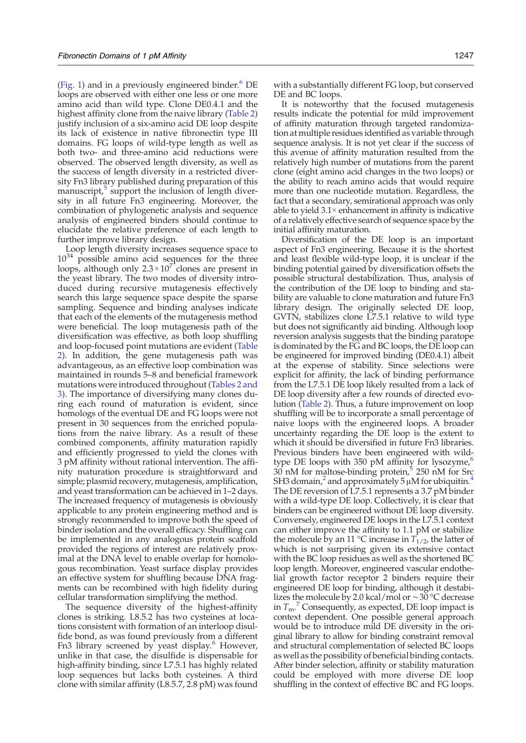[\(Fig. 1\)](#page-1-0) and in a previously engineered binder. $6$  DE loops are observed with either one less or one more amino acid than wild type. Clone DE0.4.1 and the highest affinity clone from the naive library [\(Table 2\)](#page-6-0) justify inclusion of a six-amino acid DE loop despite its lack of existence in native fibronectin type III domains. FG loops of wild-type length as well as both two- and three-amino acid reductions were observed. The observed length diversity, as well as the success of length diversity in a restricted diversity Fn3 library published during preparation of this manuscript[,](#page-13-0) $5$  support the inclusion of length diversity in all future Fn3 engineering. Moreover, the combination of phylogenetic analysis and sequence analysis of engineered binders should continue to elucidate the relative preference of each length to further improve library design.

Loop length diversity increases sequence space to  $10^{34}$  possible amino acid sequences for the three loops, although only  $2.3 \times 10^7$  clones are present in the yeast library. The two modes of diversity introduced during recursive mutagenesis effectively search this large sequence space despite the sparse sampling. Sequence and binding analyses indicate that each of the elements of the mutagenesis method were beneficial. The loop mutagenesis path of the diversification was effective, as both loop shuffling and loop-focused point mutations are evident [\(Table](#page-6-0) [2](#page-6-0)). In addition, the gene mutagenesis path was advantageous, as an effective loop combination was maintained in rounds 5–8 and beneficial framework mutations were introduced throughout ([Tables 2 and](#page-6-0) [3](#page-6-0)). The importance of diversifying many clones during each round of maturation is evident, since homologs of the eventual DE and FG loops were not present in 30 sequences from the enriched populations from the naive library. As a result of these combined components, affinity maturation rapidly and efficiently progressed to yield the clones with 3 pM affinity without rational intervention. The affinity maturation procedure is straightforward and simple; plasmid recovery, mutagenesis, amplification, and yeast transformation can be achieved in 1–2 days. The increased frequency of mutagenesis is obviously applicable to any protein engineering method and is strongly recommended to improve both the speed of binder isolation and the overall efficacy. Shuffling can be implemented in any analogous protein scaffold provided the regions of interest are relatively proximal at the DNA level to enable overlap for homologous recombination. Yeast surface display provides an effective system for shuffling because DNA fragments can be recombined with high fidelity during cellular transformation simplifying the method.

The sequence diversity of the highest-affinity clones is striking. L8.5.2 has two cysteines at locations consistent with formation of an interloop disulfide bond, as was found previously from a different Fn3 library screened by yeast display.<sup>[6](#page-13-0)</sup> However, unlike in that case, the disulfide is dispensable for high-affinity binding, since L7.5.1 has highly related loop sequences but lacks both cysteines. A third clone with similar affinity (L8.5.7, 2.8 pM) was found

with a substantially different FG loop, but conserved DE and BC loops.

It is noteworthy that the focused mutagenesis results indicate the potential for mild improvement of affinity maturation through targeted randomization at multiple residues identified as variable through sequence analysis. It is not yet clear if the success of this avenue of affinity maturation resulted from the relatively high number of mutations from the parent clone (eight amino acid changes in the two loops) or the ability to reach amino acids that would require more than one nucleotide mutation. Regardless, the fact that a secondary, semirational approach was only able to yield  $3.1\times$  enhancement in affinity is indicative of a relatively effective search of sequence space by the initial affinity maturation.

Diversification of the DE loop is an important aspect of Fn3 engineering. Because it is the shortest and least flexible wild-type loop, it is unclear if the binding potential gained by diversification offsets the possible structural destabilization. Thus, analysis of the contribution of the DE loop to binding and stability are valuable to clone maturation and future Fn3 library design. The originally selected DE loop, GVTN, stabilizes clone L7.5.1 relative to wild type but does not significantly aid binding. Although loop reversion analysis suggests that the binding paratope is dominated by the FG and BC loops, the DE loop can be engineered for improved binding (DE0.4.1) albeit at the expense of stability. Since selections were explicit for affinity, the lack of binding performance from the L7.5.1 DE loop likely resulted from a lack of DE loop diversity after a few rounds of directed evolution ([Table 2](#page-6-0)). Thus, a future improvement on loop shuffling will be to incorporate a small percentage of naive loops with the engineered loops. A broader uncertainty regarding the DE loop is the extent to which it should be diversified in future Fn3 libraries. Previous binders have been engineered with wild-type DE loops with 350 pM affinity for lysozyme,<sup>[6](#page-13-0)</sup>  $30$  nM for maltose-binding protein,<sup>[5](#page-13-0)</sup> 250 nM for Src SH3 domain, and approximately 5  $\mu$ M for ubiquitin.<sup>[4](#page-13-0)</sup> The DE reversion of L7.5.1 represents a 3.7 pM binder with a wild-type DE loop. Collectively, it is clear that binders can be engineered without DE loop diversity. Conversely, engineered DE loops in the L7.5.1 context can either improve the affinity to 1.1 pM or stabilize the molecule by an 11 °C increase in  $T_{1/2}$ , the latter of which is not surprising given its extensive contact with the BC loop residues as well as the shortened BC loop length. Moreover, engineered vascular endothelial growth factor receptor 2 binders require their engineered DE loop for binding, although it destabilizes the molecule by 2.0 kcal/mol or ∼30 °C decrease in  $T_{\rm m}$ [.](#page-13-0)<sup>[7](#page-13-0)</sup> Consequently, as expected, DE loop impact is context dependent. One possible general approach would be to introduce mild DE diversity in the original library to allow for binding constraint removal and structural complementation of selected BC loops as well as the possibility of beneficial binding contacts. After binder selection, affinity or stability maturation could be employed with more diverse DE loop shuffling in the context of effective BC and FG loops.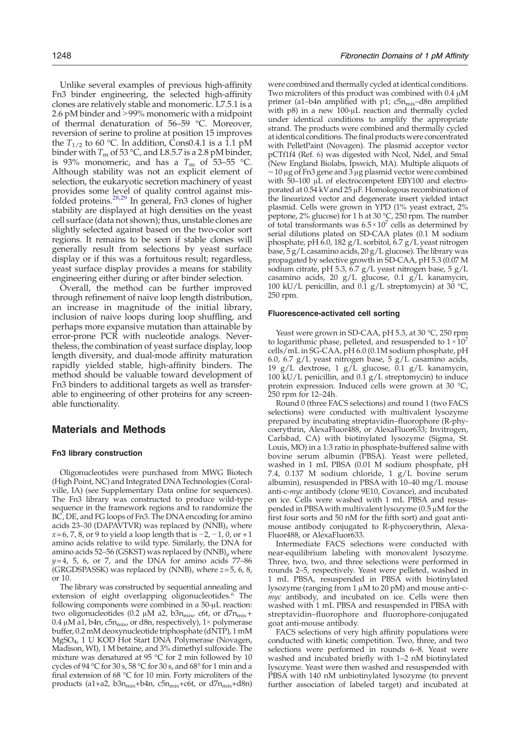Unlike several examples of previous high-affinity Fn3 binder engineering, the selected high-affinity clones are relatively stable and monomeric. L7.5.1 is a 2.6 pM binder and  $>99\%$  monomeric with a midpoint of thermal denaturation of 56–59 °C. Moreover, reversion of serine to proline at position 15 improves the  $T_{1/2}$  to 60 °C. In addition, Cons0.4.1 is a 1.1 pM binder with  $T_{\rm m}$  of 53 °C, and L8.5.7 is a 2.8 pM binder, is 93% monomeric, and has a  $T_{\rm m}$  of 53–55 °C. Although stability was not an explicit element of selection, the eukaryotic secretion machinery of yeast provides some level of quality control against mis-folded proteins.<sup>[28,29](#page-13-0)</sup> In general, Fn3 clones of higher stability are displayed at high densities on the yeast cell surface (data not shown); thus, unstable clones are slightly selected against based on the two-color sort regions. It remains to be seen if stable clones will generally result from selections by yeast surface display or if this was a fortuitous result; regardless, yeast surface display provides a means for stability engineering either during or after binder selection.

Overall, the method can be further improved through refinement of naive loop length distribution, an increase in magnitude of the initial library, inclusion of naive loops during loop shuffling, and perhaps more expansive mutation than attainable by error-prone PCR with nucleotide analogs. Nevertheless, the combination of yeast surface display, loop length diversity, and dual-mode affinity maturation rapidly yielded stable, high-affinity binders. The method should be valuable toward development of Fn3 binders to additional targets as well as transferable to engineering of other proteins for any screenable functionality.

## Materials and Methods

#### Fn3 library construction

Oligonucleotides were purchased from MWG Biotech (High Point, NC) and Integrated DNATechnologies (Coralville, IA) (see Supplementary Data online for sequences). The Fn3 library was constructed to produce wild-type sequence in the framework regions and to randomize the BC, DE, and FG loops of Fn3. The DNA encoding for amino acids 23–30 (DAPAVTVR) was replaced by  $(NNB)_x$  where  $x=6$ , 7, 8, or 9 to yield a loop length that is  $-2$ ,  $-1$ , 0, or  $+1$ amino acids relative to wild type. Similarly, the DNA for amino acids 52–56 (GSKST) was replaced by  $(NNB)_y$  where  $y=4$ , 5, 6, or 7, and the DNA for amino acids 77–86 (GRGDSPASSK) was replaced by  $(NNB)_z$  where  $z=5$ , 6, 8, or 10.

The library was constructed by sequential annealing and extension of eight overlapping oligonucleotides.<sup>[6](#page-13-0)</sup> The following components were combined in a 50-μL reaction: two oligonucleotides (0.2 μM a2, b3n<sub>mix</sub>, c6t, or d7n<sub>mix</sub>+ 0.4  $\mu$ M a1, b4n, c5n<sub>mix</sub>, or d8n, respectively), 1× polymerase buffer, 0.2 mM deoxynucleotide triphosphate (dNTP), 1 mM MgSO4, 1 U KOD Hot Start DNA Polymerase (Novagen, Madison, WI), 1 M betaine, and 3% dimethyl sulfoxide. The mixture was denatured at 95 °C for 2 min followed by 10 cycles of 94 °C for 30 s, 58 °C for 30 s, and 68° for 1 min and a final extension of 68 °C for 10 min. Forty microliters of the products (a1+a2, b3 $n_{mix}$ +b4n, c5 $n_{mix}$ +c6t, or d7 $n_{mix}$ +d8n)

were combined and thermally cycled at identical conditions. Two microliters of this product was combined with 0.4 μM primer (a1–b4n amplified with p1;  $c5n_{mix}$ –d8n amplified with p8) in a new 100-μL reaction and thermally cycled under identical conditions to amplify the appropriate strand. The products were combined and thermally cycled at identical conditions. The final products were concentrated with PelletPaint (Novagen). The plasmid acceptor vector pCTf1f4 (Ref. [6\)](#page-13-0) was digested with NcoI, NdeI, and SmaI (New England Biolabs, Ipswich, MA). Multiple aliquots of ∼10 μg of Fn3 gene and 3 μg plasmid vector were combined with 50–100 μL of electrocompetent EBY100 and electroporated at 0.54 kVand 25 μF. Homologous recombination of the linearized vector and degenerate insert yielded intact plasmid. Cells were grown in YPD (1% yeast extract, 2% peptone, 2% glucose) for 1 h at 30 °C, 250 rpm. The number of total transformants was  $6.5 \times 10^7$  cells as determined by serial dilutions plated on SD-CAA plates (0.1 M sodium phosphate, pH 6.0, 182 g/L sorbitol, 6.7 g/L yeast nitrogen base, 5 g/L casamino acids, 20 g/L glucose). The library was propagated by selective growth in SD-CAA, pH 5.3 (0.07 M sodium citrate, pH 5.3, 6.7 g/L yeast nitrogen base, 5 g/L casamino acids, 20 g/L glucose, 0.1 g/L kanamycin, 100 kU/L penicillin, and 0.1 g/L streptomycin) at 30  $^{\circ}$ C, 250 rpm.

#### Fluorescence-activated cell sorting

Yeast were grown in SD-CAA, pH 5.3, at 30 °C, 250 rpm to logarithmic phase, pelleted, and resuspended to  $1 \times 10^7$ cells/mL in SG-CAA, pH 6.0 (0.1M sodium phosphate, pH 6.0, 6.7  $g/L$  yeast nitrogen base, 5  $g/L$  casamino acids, 19 g/L dextrose, 1 g/L glucose, 0.1 g/L kanamycin, 100 kU/L penicillin, and 0.1 g/L streptomycin) to induce protein expression. Induced cells were grown at 30 °C, 250 rpm for 12–24h.

Round 0 (three FACS selections) and round 1 (two FACS selections) were conducted with multivalent lysozyme prepared by incubating streptavidin–fluorophore (R-phycoerythrin, AlexaFluor488, or AlexaFluor633; Invitrogen, Carlsbad, CA) with biotinylated lysozyme (Sigma, St. Louis, MO) in a 1:3 ratio in phosphate-buffered saline with bovine serum albumin (PBSA). Yeast were pelleted, washed in 1 mL PBSA (0.01 M sodium phosphate, pH 7.4, 0.137 M sodium chloride, 1 g/L bovine serum albumin), resuspended in PBSA with 10–40 mg/L mouse anti-c-*myc* antibody (clone 9E10, Covance), and incubated on ice. Cells were washed with 1 mL PBSA and resuspended in PBSAwith multivalent lysozyme (0.5 μM for the first four sorts and 50 nM for the fifth sort) and goat antimouse antibody conjugated to R-phycoerythrin, Alexa-Fluor488, or AlexaFluor633.

Intermediate FACS selections were conducted with near-equilibrium labeling with monovalent lysozyme. Three, two, two, and three selections were performed in rounds 2–5, respectively. Yeast were pelleted, washed in 1 mL PBSA, resuspended in PBSA with biotinylated lysozyme (ranging from 1 μM to 20 pM) and mouse anti-cmyc antibody, and incubated on ice. Cells were then washed with 1 mL PBSA and resuspended in PBSA with streptavidin–fluorophore and fluorophore-conjugated goat anti-mouse antibody.

FACS selections of very high affinity populations were conducted with kinetic competition. Two, three, and two selections were performed in rounds 6–8. Yeast were washed and incubated briefly with 1–2 nM biotinylated lysozyme. Yeast were then washed and resuspended with PBSA with 140 nM unbiotinylated lysozyme (to prevent further association of labeled target) and incubated at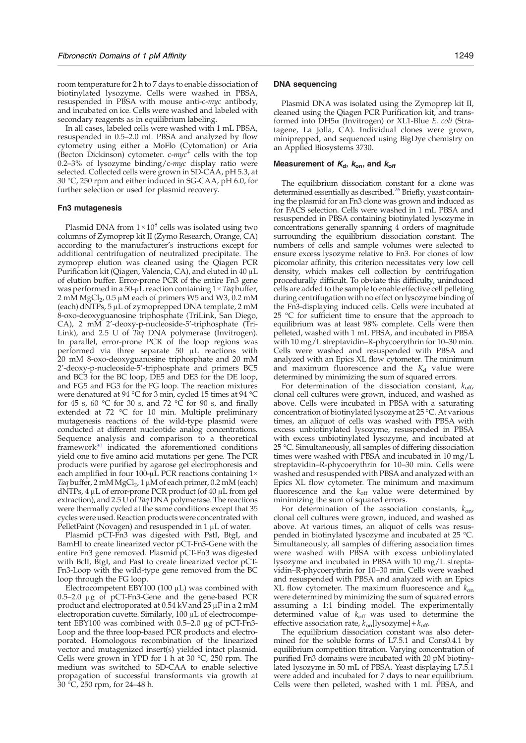room temperature for 2 h to 7 days to enable dissociation of biotinylated lysozyme. Cells were washed in PBSA, resuspended in PBSA with mouse anti-c-myc antibody, and incubated on ice. Cells were washed and labeled with secondary reagents as in equilibrium labeling.

In all cases, labeled cells were washed with 1 mL PBSA, resuspended in 0.5–2.0 mL PBSA and analyzed by flow cytometry using either a MoFlo (Cytomation) or Aria (Becton Dickinson) cytometer.  $c$ -*myc*<sup>+</sup> cells with the top 0.2–3% of lysozyme binding/c- $myc$  display ratio were selected. Collected cells were grown in SD-CAA, pH 5.3, at 30 °C, 250 rpm and either induced in SG-CAA, pH 6.0, for further selection or used for plasmid recovery.

## Fn3 mutagenesis

Plasmid DNA from  $1 \times 10^8$  cells was isolated using two columns of Zymoprep kit II (Zymo Research, Orange, CA) according to the manufacturer's instructions except for additional centrifugation of neutralized precipitate. The zymoprep elution was cleaned using the Qiagen PCR Purification kit (Qiagen, Valencia, CA), and eluted in 40 μL of elution buffer. Error-prone PCR of the entire Fn3 gene was performed in a 50- $\mu$ L reaction containing  $1 \times Taq$  buffer, 2 mM MgCl<sub>2</sub>, 0.5 μM each of primers W5 and W3, 0.2 mM (each) dNTPs, 5 μL of zymoprepped DNA template, 2 mM 8-oxo-deoxyguanosine triphosphate (TriLink, San Diego, CA), 2 mM 2'-deoxy-p-nucleoside-5'-triphosphate (Tri-Link), and 2.5 U of Taq DNA polymerase (Invitrogen). In parallel, error-prone PCR of the loop regions was performed via three separate 50 μL reactions with 20 mM 8-oxo-deoxyguanosine triphosphate and 20 mM 2'-deoxy-p-nucleoside-5'-triphosphate and primers BC5 and BC3 for the BC loop, DE5 and DE3 for the DE loop, and FG5 and FG3 for the FG loop. The reaction mixtures were denatured at 94 °C for 3 min, cycled 15 times at 94 °C for 45 s, 60 °C for 30 s, and 72 °C for 90 s, and finally extended at 72 °C for 10 min. Multiple preliminary mutagenesis reactions of the wild-type plasmid were conducted at different nucleotide analog concentrations. Sequence analysis and comparison to a theoretical framework[30](#page-14-0) indicated the aforementioned conditions yield one to five amino acid mutations per gene. The PCR products were purified by agarose gel electrophoresis and each amplified in four 100-μL PCR reactions containing 1× Taq buffer, 2 mM MgCl<sub>2</sub>, 1  $\mu$ M of each primer, 0.2 mM (each) dNTPs, 4 μL of error-prone PCR product (of 40 μL from gel extraction), and 2.5 U of Taq DNA polymerase. The reactions were thermally cycled at the same conditions except that 35 cycles were used. Reaction products were concentrated with PelletPaint (Novagen) and resuspended in 1 μL of water.

Plasmid pCT-Fn3 was digested with PstI, BtgI, and BamHI to create linearized vector pCT-Fn3-Gene with the entire Fn3 gene removed. Plasmid pCT-Fn3 was digested with BclI, BtgI, and PasI to create linearized vector pCT-Fn3-Loop with the wild-type gene removed from the BC loop through the FG loop.

Electrocompetent EBY100 (100  $\mu$ L) was combined with 0.5–2.0 μg of pCT-Fn3-Gene and the gene-based PCR product and electroporated at 0.54 kV and 25 μF in a 2 mM electroporation cuvette. Similarly, 100 μL of electrocompetent EBY100 was combined with 0.5–2.0 μg of pCT-Fn3- Loop and the three loop-based PCR products and electroporated. Homologous recombination of the linearized vector and mutagenized insert(s) yielded intact plasmid. Cells were grown in YPD for 1 h at 30 °C, 250 rpm. The medium was switched to SD-CAA to enable selective propagation of successful transformants via growth at 30 °C, 250 rpm, for 24–48 h.

#### DNA sequencing

Plasmid DNA was isolated using the Zymoprep kit II, cleaned using the Qiagen PCR Purification kit, and transformed into DH5α (Invitrogen) or XL1-Blue E. coli (Stratagene, La Jolla, CA). Individual clones were grown, miniprepped, and sequenced using BigDye chemistry on an Applied Biosystems 3730.

#### Measurement of  $K_{d}$ ,  $K_{on}$ , and  $K_{off}$

The equilibrium dissociation constant for a clone was determined essentially as described.<sup>[26](#page-13-0)</sup> Briefly, yeast containing the plasmid for an Fn3 clone was grown and induced as for FACS selection. Cells were washed in 1 mL PBSA and resuspended in PBSA containing biotinylated lysozyme in concentrations generally spanning 4 orders of magnitude surrounding the equilibrium dissociation constant. The numbers of cells and sample volumes were selected to ensure excess lysozyme relative to Fn3. For clones of low picomolar affinity, this criterion necessitates very low cell density, which makes cell collection by centrifugation procedurally difficult. To obviate this difficulty, uninduced cells are added to the sample to enable effective cell pelleting during centrifugation with no effect on lysozyme binding of the Fn3-displaying induced cells. Cells were incubated at 25 °C for sufficient time to ensure that the approach to equilibrium was at least 98% complete. Cells were then pelleted, washed with 1 mL PBSA, and incubated in PBSA with 10 mg/L streptavidin–R-phycoerythrin for 10–30 min. Cells were washed and resuspended with PBSA and analyzed with an Epics XL flow cytometer. The minimum and maximum fluorescence and the  $K_d$  value were determined by minimizing the sum of squared errors.

For determination of the dissociation constant,  $k_{off}$ , clonal cell cultures were grown, induced, and washed as above. Cells were incubated in PBSA with a saturating concentration of biotinylated lysozyme at 25 °C. At various times, an aliquot of cells was washed with PBSA with excess unbiotinylated lysozyme, resuspended in PBSA with excess unbiotinylated lysozyme, and incubated at 25 °C. Simultaneously, all samples of differing dissociation times were washed with PBSA and incubated in 10 mg/L streptavidin–R-phycoerythrin for 10–30 min. Cells were washed and resuspended with PBSA and analyzed with an Epics XL flow cytometer. The minimum and maximum fluorescence and the  $k_{\text{off}}$  value were determined by minimizing the sum of squared errors.

For determination of the association constants,  $k_{\text{on}}$ , clonal cell cultures were grown, induced, and washed as above. At various times, an aliquot of cells was resuspended in biotinylated lysozyme and incubated at 25 °C. Simultaneously, all samples of differing association times were washed with PBSA with excess unbiotinylated lysozyme and incubated in PBSA with 10 mg/L streptavidin–R-phycoerythrin for 10–30 min. Cells were washed and resuspended with PBSA and analyzed with an Epics XL flow cytometer. The maximum fluorescence and  $k_{on}$ were determined by minimizing the sum of squared errors assuming a 1:1 binding model. The experimentally determined value of  $k_{\text{off}}$  was used to determine the effective association rate,  $k_{on}$ [lysozyme] + $k_{off}$ .

The equilibrium dissociation constant was also determined for the soluble forms of L7.5.1 and Cons0.4.1 by equilibrium competition titration. Varying concentration of purified Fn3 domains were incubated with 20 pM biotinylated lysozyme in 50 mL of PBSA. Yeast displaying L7.5.1 were added and incubated for 7 days to near equilibrium. Cells were then pelleted, washed with 1 mL PBSA, and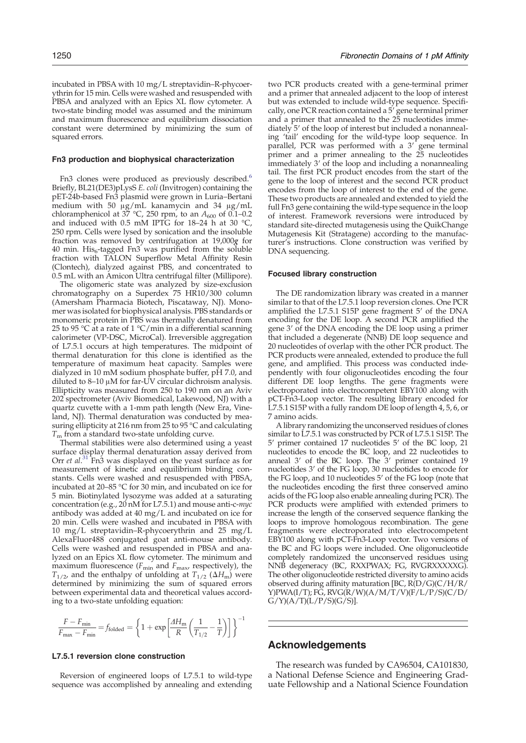incubated in PBSA with 10 mg/L streptavidin–R-phycoerythrin for 15 min. Cells were washed and resuspended with PBSA and analyzed with an Epics XL flow cytometer. A two-state binding model was assumed and the minimum and maximum fluorescence and equilibrium dissociation constant were determined by minimizing the sum of squared errors.

#### Fn3 production and biophysical characterization

Fn3 clones were produced as previously described.<sup>[6](#page-13-0)</sup> Briefly, BL21(DE3)pLysS E. coli (Invitrogen) containing the pET-24b-based Fn3 plasmid were grown in Luria–Bertani medium with 50 μg/mL kanamycin and 34 μg/mL chloramphenicol at 37 °C, 250 rpm, to an  $A_{600}$  of 0.1–0.2 and induced with 0.5 mM IPTG for 18–24 h at 30  $^{\circ}$ C, 250 rpm. Cells were lysed by sonication and the insoluble fraction was removed by centrifugation at 19,000g for 40 min. His<sub>6</sub>-tagged Fn3 was purified from the soluble fraction with TALON Superflow Metal Affinity Resin (Clontech), dialyzed against PBS, and concentrated to 0.5 mL with an Amicon Ultra centrifugal filter (Millipore).

The oligomeric state was analyzed by size-exclusion chromatography on a Superdex 75 HR10/300 column (Amersham Pharmacia Biotech, Piscataway, NJ). Monomer was isolated for biophysical analysis. PBS standards or monomeric protein in PBS was thermally denatured from 25 to 95 °C at a rate of 1 °C/min in a differential scanning calorimeter (VP-DSC, MicroCal). Irreversible aggregation of L7.5.1 occurs at high temperatures. The midpoint of thermal denaturation for this clone is identified as the temperature of maximum heat capacity. Samples were dialyzed in 10 mM sodium phosphate buffer, pH 7.0, and diluted to 8–10 μM for far-UV circular dichroism analysis. Ellipticity was measured from 250 to 190 nm on an Aviv 202 spectrometer (Aviv Biomedical, Lakewood, NJ) with a quartz cuvette with a 1-mm path length (New Era, Vineland, NJ). Thermal denaturation was conducted by measuring ellipticity at 216 nm from 25 to 95 °C and calculating  $T<sub>m</sub>$  from a standard two-state unfolding curve.

Thermal stabilities were also determined using a yeast surface display thermal denaturation assay derived from Orr et al.<sup>[31](#page-14-0)</sup> Fn3 was displayed on the yeast surface as for measurement of kinetic and equilibrium binding constants. Cells were washed and resuspended with PBSA, incubated at 20–85 °C for 30 min, and incubated on ice for 5 min. Biotinylated lysozyme was added at a saturating concentration (e.g., 20 nM for L7.5.1) and mouse anti-c-myc antibody was added at 40 mg/L and incubated on ice for 20 min. Cells were washed and incubated in PBSA with 10 mg/L streptavidin–R-phycoerythrin and 25 mg/L AlexaFluor488 conjugated goat anti-mouse antibody. Cells were washed and resuspended in PBSA and analyzed on an Epics XL flow cytometer. The minimum and maximum fluorescence ( $F_{\text{min}}$  and  $F_{\text{max}}$ , respectively), the  $T_{1/2}$ , and the enthalpy of unfolding at  $T_{1/2}$  ( $\Delta H_{\text{m}}$ ) were determined by minimizing the sum of squared errors between experimental data and theoretical values according to a two-state unfolding equation:

$$
\frac{F - F_{\min}}{F_{\max} - F_{\min}} = f_{\text{folded}} = \left\{ 1 + \exp\left[\frac{AH_{\text{m}}}{R} \left(\frac{1}{T_{1/2}} - \frac{1}{T}\right)\right] \right\}^{-1}
$$

#### L7.5.1 reversion clone construction

Reversion of engineered loops of L7.5.1 to wild-type sequence was accomplished by annealing and extending

two PCR products created with a gene-terminal primer and a primer that annealed adjacent to the loop of interest but was extended to include wild-type sequence. Specifically, one PCR reaction contained a 5<sup>'</sup> gene terminal primer and a primer that annealed to the 25 nucleotides immediately 5′ of the loop of interest but included a nonannealing 'tail' encoding for the wild-type loop sequence. In parallel, PCR was performed with a 3′ gene terminal primer and a primer annealing to the 25 nucleotides immediately 3' of the loop and including a nonannealing tail. The first PCR product encodes from the start of the gene to the loop of interest and the second PCR product encodes from the loop of interest to the end of the gene. These two products are annealed and extended to yield the full Fn3 gene containing the wild-type sequence in the loop of interest. Framework reversions were introduced by standard site-directed mutagenesis using the QuikChange Mutagenesis Kit (Stratagene) according to the manufacturer's instructions. Clone construction was verified by DNA sequencing.

#### Focused library construction

The DE randomization library was created in a manner similar to that of the L7.5.1 loop reversion clones. One PCR amplified the L7.5.1 S15P gene fragment 5′ of the DNA encoding for the DE loop. A second PCR amplified the gene 3′ of the DNA encoding the DE loop using a primer that included a degenerate (NNB) DE loop sequence and 20 nucleotides of overlap with the other PCR product. The PCR products were annealed, extended to produce the full gene, and amplified. This process was conducted independently with four oligonucleotides encoding the four different DE loop lengths. The gene fragments were electroporated into electrocompetent EBY100 along with pCT-Fn3-Loop vector. The resulting library encoded for L7.5.1 S15P with a fully random DE loop of length 4, 5, 6, or 7 amino acids.

A library randomizing the unconserved residues of clones similar to L7.5.1 was constructed by PCR of L7.5.1 S15P. The 5′ primer contained 17 nucleotides 5′ of the BC loop, 21 nucleotides to encode the BC loop, and 22 nucleotides to anneal 3′ of the BC loop. The 3′ primer contained 19 nucleotides 3' of the FG loop, 30 nucleotides to encode for the FG loop, and 10 nucleotides 5′ of the FG loop (note that the nucleotides encoding the first three conserved amino acids of the FG loop also enable annealing during PCR). The PCR products were amplified with extended primers to increase the length of the conserved sequence flanking the loops to improve homologous recombination. The gene fragments were electroporated into electrocompetent EBY100 along with pCT-Fn3-Loop vector. Two versions of the BC and FG loops were included. One oligonucleotide completely randomized the unconserved residues using NNB degeneracy (BC, RXXPWAX; FG, RVGRXXXXXG). The other oligonucleotide restricted diversity to amino acids observed during affinity maturation [BC, R(D/G)(C/H/R/ Y)PWA(I/T); FG, RVG(R/W)(A/M/T/V)(F/L/P/S)(C/D/  $G/Y$  $(A/T)$  $(L/P/S)$  $(G/S)$ ].

## Acknowledgements

The research was funded by CA96504, CA101830, a National Defense Science and Engineering Graduate Fellowship and a National Science Foundation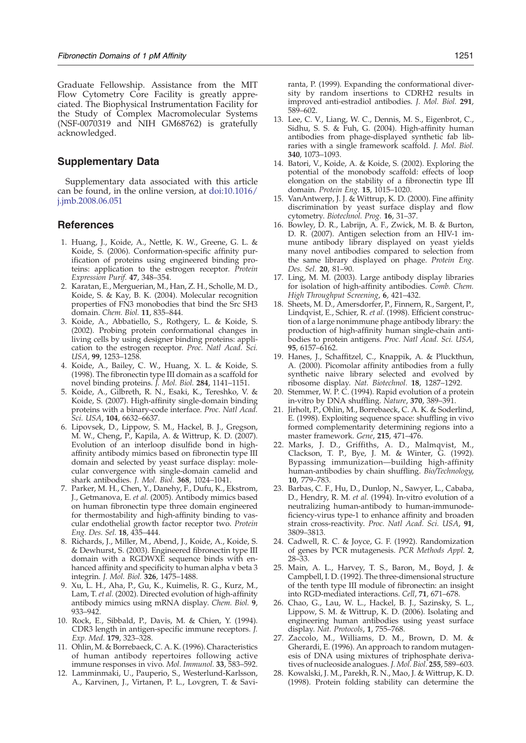<span id="page-13-0"></span>Graduate Fellowship. Assistance from the MIT Flow Cytometry Core Facility is greatly appreciated. The Biophysical Instrumentation Facility for the Study of Complex Macromolecular Systems (NSF-0070319 and NIH GM68762) is gratefully acknowledged.

## Supplementary Data

Supplementary data associated with this article can be found, in the online version, at [doi:10.1016/](http://dx.doi.org/10.1016/j.jmb.2008.06.051) [j.jmb.2008.06.051](http://dx.doi.org/10.1016/j.jmb.2008.06.051)

## References

- 1. Huang, J., Koide, A., Nettle, K. W., Greene, G. L. & Koide, S. (2006). Conformation-specific affinity purification of proteins using engineered binding proteins: application to the estrogen receptor. Protein Expression Purif. 47, 348–354.
- 2. Karatan, E., Merguerian, M., Han, Z. H., Scholle, M. D., Koide, S. & Kay, B. K. (2004). Molecular recognition properties of FN3 monobodies that bind the Src SH3 domain. Chem. Biol. 11, 835–844.
- 3. Koide, A., Abbatiello, S., Rothgery, L. & Koide, S. (2002). Probing protein conformational changes in living cells by using designer binding proteins: application to the estrogen receptor. Proc. Natl Acad. Sci. USA, 99, 1253–1258.
- 4. Koide, A., Bailey, C. W., Huang, X. L. & Koide, S. (1998). The fibronectin type III domain as a scaffold for novel binding proteins. J. Mol. Biol. 284, 1141–1151.
- 5. Koide, A., Gilbreth, R. N., Esaki, K., Tereshko, V. & Koide, S. (2007). High-affinity single-domain binding proteins with a binary-code interface. Proc. Natl Acad. Sci. USA, 104, 6632–6637.
- 6. Lipovsek, D., Lippow, S. M., Hackel, B. J., Gregson, M. W., Cheng, P., Kapila, A. & Wittrup, K. D. (2007). Evolution of an interloop disulfide bond in highaffinity antibody mimics based on fibronectin type III domain and selected by yeast surface display: molecular convergence with single-domain camelid and shark antibodies. J. Mol. Biol. 368, 1024–1041.
- 7. Parker, M. H., Chen, Y., Danehy, F., Dufu, K., Ekstrom, J., Getmanova, E. et al. (2005). Antibody mimics based on human fibronectin type three domain engineered for thermostability and high-affinity binding to vascular endothelial growth factor receptor two. Protein Eng. Des. Sel. 18, 435–444.
- 8. Richards, J., Miller, M., Abend, J., Koide, A., Koide, S. & Dewhurst, S. (2003). Engineered fibronectin type III domain with a RGDWXE sequence binds with enhanced affinity and specificity to human alpha v beta 3 integrin. J. Mol. Biol. 326, 1475–1488.
- 9. Xu, L. H., Aha, P., Gu, K., Kuimelis, R. G., Kurz, M., Lam, T. et al. (2002). Directed evolution of high-affinity antibody mimics using mRNA display. Chem. Biol. 9, 933–942.
- 10. Rock, E., Sibbald, P., Davis, M. & Chien, Y. (1994). CDR3 length in antigen-specific immune receptors. J. Exp. Med. 179, 323–328.
- 11. Ohlin, M. & Borrebaeck, C. A. K. (1996). Characteristics of human antibody repertoires following active immune responses in vivo. Mol. Immunol. 33, 583–592.
- 12. Lamminmaki, U., Pauperio, S., Westerlund-Karlsson, A., Karvinen, J., Virtanen, P. L., Lovgren, T. & Savi-

ranta, P. (1999). Expanding the conformational diversity by random insertions to CDRH2 results in improved anti-estradiol antibodies. J. Mol. Biol. 291, 589–602.

- 13. Lee, C. V., Liang, W. C., Dennis, M. S., Eigenbrot, C., Sidhu, S. S. & Fuh, G. (2004). High-affinity human antibodies from phage-displayed synthetic fab libraries with a single framework scaffold. J. Mol. Biol. 340, 1073–1093.
- 14. Batori, V., Koide, A. & Koide, S. (2002). Exploring the potential of the monobody scaffold: effects of loop elongation on the stability of a fibronectin type III domain. Protein Eng. 15, 1015–1020.
- 15. VanAntwerp, J. J. & Wittrup, K. D. (2000). Fine affinity discrimination by yeast surface display and flow cytometry. Biotechnol. Prog. 16, 31–37.
- 16. Bowley, D. R., Labrijn, A. F., Zwick, M. B. & Burton, D. R. (2007). Antigen selection from an HIV-1 immune antibody library displayed on yeast yields many novel antibodies compared to selection from the same library displayed on phage. Protein Eng. Des. Sel. 20, 81–90.
- 17. Ling, M. M. (2003). Large antibody display libraries for isolation of high-affinity antibodies. Comb. Chem. High Throughput Screening, 6, 421-432.
- 18. Sheets, M. D., Amersdorfer, P., Finnern, R., Sargent, P., Lindqvist, E., Schier, R. et al. (1998). Efficient construction of a large nonimmune phage antibody library: the production of high-affinity human single-chain antibodies to protein antigens. Proc. Natl Acad. Sci. USA, 95, 6157–6162.
- 19. Hanes, J., Schaffitzel, C., Knappik, A. & Pluckthun, A. (2000). Picomolar affinity antibodies from a fully synthetic naive library selected and evolved by ribosome display. Nat. Biotechnol. 18, 1287–1292.
- 20. Stemmer, W. P. C. (1994). Rapid evolution of a protein in-vitro by DNA shuffling. Nature, 370, 389-391.
- 21. Jirholt, P., Ohlin, M., Borrebaeck, C. A. K. & Soderlind, E. (1998). Exploiting sequence space: shuffling in vivo formed complementarity determining regions into a master framework. Gene, 215, 471–476.
- 22. Marks, J. D., Griffiths, A. D., Malmqvist, M., Clackson, T. P., Bye, J. M. & Winter, G. (1992). Bypassing immunization—building high-affinity human-antibodies by chain shuffling. Bio/Technology, 10, 779–783.
- 23. Barbas, C. F., Hu, D., Dunlop, N., Sawyer, L., Cababa, D., Hendry, R. M. et al. (1994). In-vitro evolution of a neutralizing human-antibody to human-immunodeficiency-virus type-1 to enhance affinity and broaden strain cross-reactivity. Proc. Natl Acad. Sci. USA, 91, 3809–3813.
- 24. Cadwell, R. C. & Joyce, G. F. (1992). Randomization of genes by PCR mutagenesis. PCR Methods Appl. 2, 28–33.
- 25. Main, A. L., Harvey, T. S., Baron, M., Boyd, J. & Campbell, I. D. (1992). The three-dimensional structure of the tenth type III module of fibronectin: an insight into RGD-mediated interactions. Cell, 71, 671–678.
- 26. Chao, G., Lau, W. L., Hackel, B. J., Sazinsky, S. L., Lippow, S. M. & Wittrup, K. D. (2006). Isolating and engineering human antibodies using yeast surface display. Nat. Protocols, 1, 755-768.
- 27. Zaccolo, M., Williams, D. M., Brown, D. M. & Gherardi, E. (1996). An approach to random mutagenesis of DNA using mixtures of triphosphate derivatives of nucleoside analogues. J. Mol. Biol. 255, 589–603.
- 28. Kowalski, J. M., Parekh, R. N., Mao, J. & Wittrup, K. D. (1998). Protein folding stability can determine the